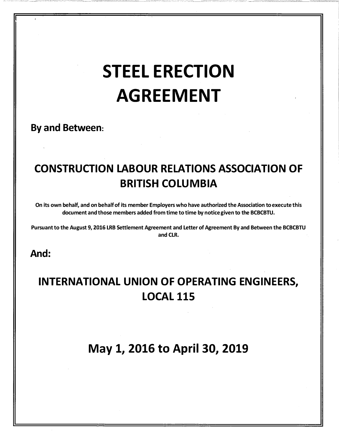# STEEL ERECTION AGREEMENT

\_\_ -:: -.c-\_-\_-\_-::\_-\_\_\_\_

\_\_\_ - -- - --- -

-- - - -- . - --:.-\_ -------<'�-: \_

By and Between:

# CONSTRUCTION LABOUR RELATIONS ASSOCIATION OF BRITISH COLUMBIA

On its own behalf, and on behalf of its member Employers who have authorized the Association to execute this document and those members added from time to time by notice given to the BCBCBTU.

Pursuant to the August 9, 2016 LRB Settlement Agreement and letter of Agreement By and Between the BCBCBTU and CLR.

And:

' - $-$ 

----------=.i--' ---

# INTERNATIONAL UNION OF OPERATING ENGINEERS, LOCAL 115

May 1, 2016 to April 30, 2019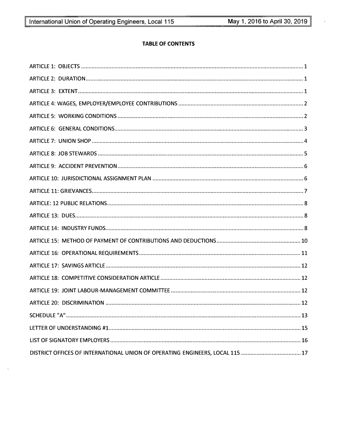# **TABLE OF CONTENTS**

 $\bar{\infty}$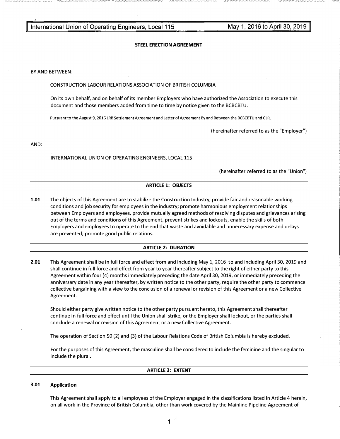I

#### STEEL ERECTION AGREEMENT

#### BY AND BETWEEN:

#### CONSTRUCTION LABOUR RELATIONS ASSOCIATION OF BRITISH COLUMBIA

On its own behalf, and on behalf of its member Employers who have authorized the Association to execute this document and those members added from time to time by notice given to the BCBCBTU.

Pursuant to the August 9, 2016 LRB Settlement Agreement and Letter of Agreement By and Between the BCBCBTU and CLR.

(hereinafter referred to as the "Employer")

AND:

INTERNATIONAL UNION OF OPERATING ENGINEERS, LOCAL 115

(hereinafter referred to as the "Union")

#### ARTICLE 1: OBJECTS

1.01 The objects of this Agreement are to stabilize the Construction Industry, provide fair and reasonable working conditions and job security for employees in the industry; promote harmonious employment relationships between Employers and employees, provide mutually agreed methods of resolving disputes and grievances arising out of the terms and conditions of this Agreement, prevent strikes and lockouts, enable the skills of both Employers and employees to operate to the end that waste and avoidable and unnecessary expense and delays are prevented; promote good public relations.

#### ARTICLE 2: DURATION

2.01 This Agreement shall be in full force and effect from and including May 1, 2016 to and including April 30, 2019 and shall continue in full force and effect from year to year thereafter subject to the right of either party to this Agreement within four (4) months immediately preceding the date April 30, 2019, or immediately preceding the anniversary date in any year thereafter, by written notice to the other party, require the other party to commence collective bargaining with a view to the conclusion of a renewal or revision of this Agreement or a new Collective Agreement.

Should either party give written notice to the other party pursuant hereto, this Agreement shall thereafter continue in full force and effect until the Union shall strike, or the Employer shall lockout, or the parties shall conclude a renewal or revision of this Agreement or a new Collective Agreement.

The operation of Section 50 (2) and (3) of the Labour Relations Code of British Columbia is hereby excluded.

For the purposes of this Agreement, the masculine shall be considered to include the feminine and the singular to include the plural.

#### ARTICLE 3: EXTENT

#### 3.01 Application

This Agreement shall apply to all employees of the Employer engaged in the classifications listed in Article 4 herein, on all work in the Province of British Columbia, other than work covered by the Mainline Pipeline Agreement of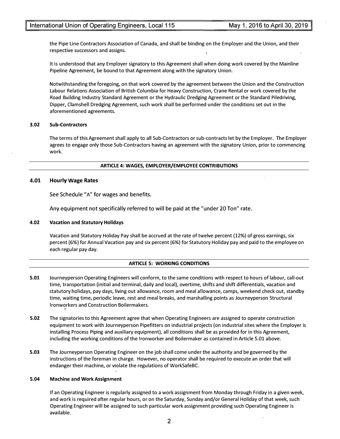the Pipe Line Contractors Association of Canada, and shall be binding on the Employer and the Union, and their respective successors and assigns.

It is understood that any Employer signatory to this Agreement shall when doing work covered by the Mainline Pipeline Agreement, be bound to that Agreement along with the signatory Union.

Notwithstanding the foregoing, on that work covered by the agreement between the Union and the Construction Labour Relations Association of British Columbia for Heavy Construction, Crane Rental or work covered by the Road Building Industry Standard Agreement or the Hydraulic Dredging Agreement or the Standard Piledriving, Dipper, Clamshell Dredging Agreement, such work shall be performed under the conditions set out in the aforementioned agreements.

#### 3.02 Sub-Contractors

The terms of this Agreement shall apply to all Sub-Contractors or sub-contracts let by the Employer. The Employer agrees to engage only those Sub-Contractors having an agreement with the signatory Union, prior to commencing work.

#### ARTICLE 4: WAGES, EMPLOYER/EMPLOYEE CONTRIBUTIONS

#### 4.01 Hourly Wage Rates

See Schedule "A" for wages and benefits.

Any equipment not specifically referred to will be paid at the "under 20 Ton" rate.

#### 4.02 Vacation and Statutory Holidays

Vacation and Statutory Holiday Pay shall be accrued at the rate of twelve percent (12%) of gross earnings, six percent (6%} for Annual Vacation pay and six percent (6%) for Statutory Holiday pay and paid to the employee on each regular pay day.

#### ARTICLE 5: WORKING CONDITIONS

- 5.01 Journeyperson Operating Engineers will conform, to the same conditions with respect to hours of labour, call-out time, transportation (initial and terminal, daily and local), overtime, shifts and shift differentials, vacation and statutory holidays, pay days, living out allowance, room and meal allowance, camps, weekend check out, standby time, waiting time, periodic leave, rest and meal breaks, and marshalling points as Journeyperson Structural Ironworkers and Construction Boilermakers.
- 5.02 The signatories to this Agreement agree that when Operating Engineers are assigned to operate construction equipment to work with Journeyperson Pipefitters on industrial projects (on industrial sites where the Employer is installing Process Piping and auxiliary equipment), all conditions shall be as provided for in this Agreement, including the working conditions of the Ironworker and Boilermaker as contained in Article 5.01 above.
- 5.03 The Journeyperson Operating Engineer on the job shall come under the authority and be governed by the instructions of the foreman in charge. However, no operator shall be required to execute an order that will endanger their machine, or violate the regulations of WorkSafeBC.

#### 5.04 Machine and Work Assignment

If an Operating Engineer is regularly assigned to a work assignment from Monday through Friday in a given week, and work is required after regular hours, or on the Saturday, Sunday and/or General Holiday of that week, such Operating Engineer will be assigned to such particular work assignment providing such Operating Engineer is available.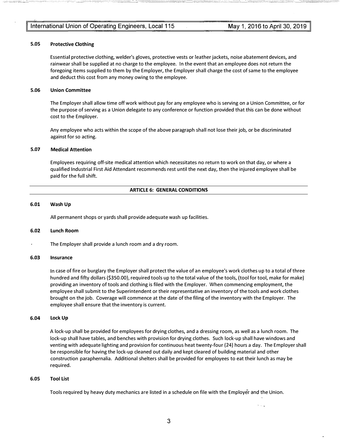#### International Union of Operating Engineers, Local 115

#### 5.05 Protective Clothing

Essential protective clothing, welder's gloves, protective vests or leather jackets, noise abatement devices, and rainwear shall be supplied at no charge to the employee. In the event that an employee does not return the foregoing items supplied to them by the Employer, the Employer shall charge the cost of same to the employee and deduct this cost from any money owing to the employee.

#### 5.06 Union Committee

The Employer shall allow time off work without pay for any employee who is serving on a Union Committee, or for the purpose of serving as a Union delegate to any conference or function provided that this can be done without cost to the Employer.

Any employee who acts within the scope of the above paragraph shall not lose their job, or be discriminated against for so acting.

#### 5.07 Medical Attention

Employees requiring off-site medical attention which necessitates no return to work on that day, or where a qualified Industrial First Aid Attendant recommends rest until the next day, then the injured employee shall be paid for the full shift.

#### ARTICLE 6: GENERAL CONDITIONS

#### 6.01 Wash Up

All permanent shops or yards shall provide adequate wash up facilities.

#### 6.02 Lunch Room

The Employer shall provide a lunch room and a dry room.

#### 6.03 Insurance

In case of fire or burglary the Employer shall protect the value of an employee's work clothes up to a total of three hundred and fifty dollars (\$350.00), required tools up to the total value of the tools, (tool for tool, make for make) providing an inventory of tools and clothing is filed with the Employer. When commencing employment, the employee shall submit to the Superintendent or their representative an inventory of the tools and work clothes brought on the job. Coverage will commence at the date of the filing of the inventory with the Employer. The employee shall ensure that the inventory is current.

#### 6.04 Lock Up

A lock-up shall be provided for employees for drying clothes, and a dressing room, as well as a lunch room. The lock-up shall have tables, and benches with provision for drying clothes. Such lock-up shall have windows and venting with adequate lighting and provision for continuous heat twenty-four (24) hours a day. The Employer shall be responsible for having the lock-up cleaned out daily and kept cleared of building material and other construction paraphernalia. Additional shelters shall be provided for employees to eat their lunch as may be required.

#### 6.05 Tool List

Tools required by heavy duty mechanics are listed in a schedule on file with the Employer and the Union.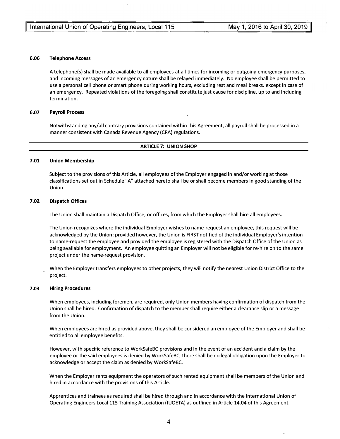#### 6.06 Telephone Access

A telephone(s) shall be made available to all employees at all times for incoming or outgoing emergency purposes, and incoming messages of an emergency nature shall be relayed immediately. No employee shall be permitted to use a personal cell phone or smart phone during working hours, excluding rest and meal breaks, except in case of an emergency. Repeated violations of the foregoing shall constitute just cause for discipline, up to and including termination.

#### 6.07 Payroll Process

Notwithstanding any/all contrary provisions contained within this Agreement, all payroll shall be processed in a manner consistent with Canada Revenue Agency (CRA) regulations.

#### ARTICLE 7: UNION SHOP

#### 7.01 Union Membership

Subject to the provisions of this Article, all employees of the Employer engaged in and/or working at those classifications set out in Schedule "A" attached hereto shall be or shall become members in good standing of the Union.

#### 7.02 Dispatch Offices

The Union shall maintain a Dispatch Office, or offices, from which the Employer shall hire all employees.

The Union recognizes where the individual Employer wishes to name-request an employee, this request will be acknowledged by the Union; provided however, the Union is FIRST notified of the individual Employer's intention to name-request the employee and provided the employee is registered with the Dispatch Office of the Union as being available for employment. An employee quitting an Employer will not be eligible for re-hire on to the same project under the name-request provision.

When the Employer transfers employees to other projects, they will notify the nearest Union District Office to the project.

#### 7.03 Hiring Procedures

When employees, including foremen, are required, only Union members having confirmation of dispatch from the Union shall be hired. Confirmation of dispatch to the member shall require either a clearance slip or a message from the Union.

When employees are hired as provided above, they shall be considered an employee of the Employer and shall be entitled to all employee benefits.

However, with specific reference to WorkSafeBC provisions and in the event of an accident and a claim by the employee or the said employees is denied by WorkSafeBC, there shall be no legal obligation upon the Employer to acknowledge or accept the claim as denied by WorkSafeBC.

When the Employer rents equipment the operators of such rented equipment shall be members of the Union and hired in accordance with the provisions of this Article.

Apprentices and trainees as required shall be hired through and in accordance with the International Union of Operating Engineers Local115 Training Association (IUOETA) as outlined in Article 14.04 of this Agreement.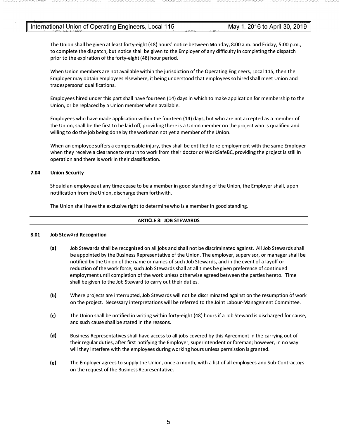The Union shall be given at least forty-eight {48) hours' notice between Monday, 8:00a.m. and Friday, 5:00p.m., to complete the dispatch, but notice shall be given to the Employer of any difficulty in completing the dispatch prior to the expiration of the forty-eight (48) hour period.

When Union members are not available within the jurisdiction of the Operating Engineers, Local 115, then the Employer may obtain employees elsewhere, it being understood that employees so hired shall meet Union and tradespersons' qualifications.

Employees hired under this part shall have fourteen (14) days in which to make application for membership to the Union, or be replaced by a Union member when available.

Employees who have made application within the fourteen (14) days, but who are not accepted as a member of the Union, shall be the first to be laid off, providing there is a Union member on the project who is qualified and willing to do the job being done by the workman not yet a member of the Union.

When an employee suffers a compensable injury, they shall be entitled to re-employment with the same Employer when they receive a clearance to return to work from their doctor or WorkSafeBC, providing the project is still in operation and there is work in their classification.

#### 7.04 Union Security

Should an employee at any time cease to be a member in good standing of the Union, the Employer shall, upon notification from the Union, discharge them forthwith.

The Union shall have the exclusive right to determine who is a member in good standing.

#### ARTICLE 8: JOB STEWARDS

#### 8.01 Job Steward Recognition

- (a) Job Stewards shall be recognized on all jobs and shall not be discriminated against. All Job Stewards shall be appointed by the Business Representative of the Union. The employer, supervisor, or manager shall be notified by the Union of the name or names of such Job Stewards, and in the event of a layoff or reduction of the work force, such Job Stewards shall at all times be given preference of continued employment until completion of the work unless otherwise agreed between the parties hereto. Time shall be given to the Job Steward to carry out their duties.
- (b) Where projects are interrupted, Job Stewards will not be discriminated against on the resumption of work on the project. Necessary interpretations will be referred to the Joint Labour-Management Committee.
- (c) The Union shall be notified in writing within forty-eight (48) hours if a Job Steward is discharged for cause, and such cause shall be stated in the reasons.
- (d) Business Representatives shall have access to all jobs covered by this Agreement in the carrying out of their regular duties, after first notifying the Employer, superintendent or foreman; however, in no way will they interfere with the employees during working hours unless permission is granted.
- (e) The Employer agrees to supply the Union, once a month, with a list of all employees and Sub-Contractors on the request of the Business Representative.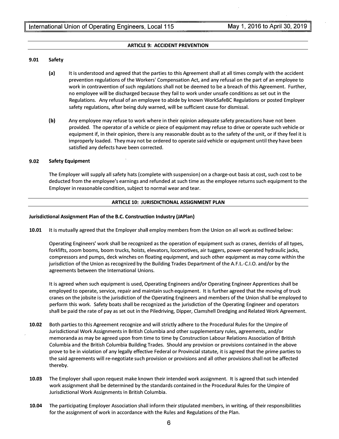#### ARTICLE 9: ACCIDENT PREVENTION

#### 9.01 Safety

- (a) It is understood and agreed that the parties to this Agreement shall at all times comply with the accident prevention regulations of the Workers' Compensation Act, and any refusal on the part of an employee to work in contravention of such regulations shall not be deemed to be a breach of this Agreement. Further, no employee will be discharged because they fail to work under unsafe conditions as set out in the Regulations. Any refusal of an employee to abide by known WorkSafeBC Regulations or posted Employer safety regulations, after being duly warned, will be sufficient cause for dismissal.
- (b) Any employee may refuse to work where in their opinion adequate safety precautions have not been provided. The operator of a vehicle or piece of equipment may refuse to drive or operate such vehicle or equipment if, in their opinion, there is any reasonable doubt as to the safety of the unit, or if they feel it is improperly loaded. They may not be ordered to operate said vehicle or equipment until they have been satisfied any defects have been corrected.

#### 9.02 Safety Equipment

The Employer will supply all safety hats (complete with suspension) on a charge-out basis at cost, such cost to be deducted from the employee's earnings and refunded at such time as the employee returns such equipment to the Employer in reasonable condition, subject to normal wear and tear.

#### ARTICLE 10: JURISDICTIONAL ASSIGNMENT PLAN

#### Jurisdictional Assignment Plan of the B.C. Construction Industry (JAPian)

10.01 It is mutually agreed that the Employer shall employ members from the Union on all work as outlined below:

Operating Engineers' work shall be recognized as the operation of equipment such as cranes, derricks of all types, forklifts, zoom booms, boom trucks, hoists, elevators, locomotives, air tuggers, power-operated hydraulic jacks, compressors and pumps, deck winches on floating equipment, and such other equipment as may come within the jurisdiction of the Union as recognized by the Building Trades Department of the A.F.L.-C.I.O. and/or by the agreements between the International Unions.

It is agreed when such equipment is used, Operating Engineers and/or Operating Engineer Apprentices shall be employed to operate, service, repair and maintain such equipment. It is further agreed that the moving of truck cranes on the jobsite is the jurisdiction of the Operating Engineers and members of the Union shall be employed to perform this work. Safety boats shall be recognized as the jurisdiction of the Operating Engineer and operators shall be paid the rate of pay as set out in the Piledriving, Dipper, Clamshell Dredging and Related Work Agreement.

- 10.02 Both parties to this Agreement recognize and will strictly adhere to the Procedural Rules for the Umpire of Jurisdictional Work Assignments in British Columbia and other supplementary rules, agreements, and/or memoranda as may be agreed upon from time to time by Construction Labour Relations Association of British Columbia and the British Columbia Building Trades. Should any provision or provisions contained in the above prove to be in violation of any legally effective Federal or Provincial statute, it is agreed that the prime parties to the said agreements will re-negotiate such provision or provisions and all other provisions shall not be affected thereby.
- 10.03 The Employer shall upon request make known their intended work assignment. It is agreed that such intended work assignment shall be determined by the standards contained in the Procedural Rules for the Umpire of Jurisdictional Work Assignments in British Columbia.
- 10.04 The participating Employer Association shall inform their stipulated members, in writing, of their responsibilities for the assignment of work in accordance with the Rules and Regulations of the Plan.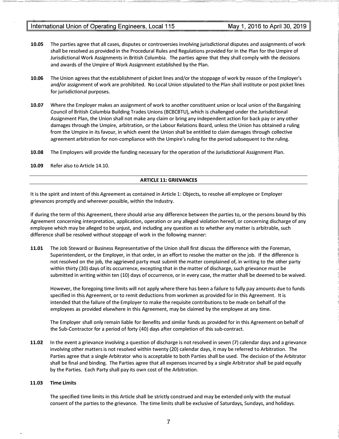- 10.05 The parties agree that all cases, disputes or controversies involving jurisdictional disputes and assignments of work shall be resolved as provided in the Procedural Rules and Regulations provided for in the Plan for the Umpire of Jurisdictional Work Assignments in British Columbia. The parties agree that they shall comply with the decisions and awards of the Umpire of Work Assignment established by the Plan.
- 10.06 The Union agrees that the establishment of picket lines and/or the stoppage of work by reason of the Employer's and/or assignment of work are prohibited. No Local Union stipulated to the Plan shall institute or post picket lines for jurisdictional purposes.
- 10.07 Where the Employer makes an assignment of work to another constituent union or local union of the Bargaining Council of British Columbia Building Trades Unions (BCBCBTU), which is challenged under the Jurisdictional Assignment Plan, the Union shall not make any claim or bring any independent action for back pay or any other damages through the Umpire, arbitration, or the Labour Relations Board, unless the Union has obtained a ruling from the Umpire in its favour, in which event the Union shall be entitled to claim damages through collective agreement arbitration for non-compliance with the Umpire's ruling for the period subsequent to the ruling.
- 10.08 The Employers will provide the funding necessary for the operation of the Jurisdictional Assignment Plan.
- 10.09 Refer also to Article 14.10.

#### ARTICLE 11: GRIEVANCES

It is the spirit and intent of this Agreement as contained in Article 1: Objects, to resolve all employee or Employer grievances promptly and wherever possible, within the Industry.

If during the term of this Agreement, there should arise any difference between the parties to, or the persons bound by this Agreement concerning interpretation, application, operation or any alleged violation hereof, or concerning discharge of any employee which may be alleged to be unjust, and including any question as to whether any matter is arbitrable, such difference shall be resolved without stoppage of work in the following manner:

11.01 The Job Steward or Business Representative of the Union shall first discuss the difference with the Foreman, Superintendent, or the Employer, in that order, in an effort to resolve the matter on the job. If the difference is not resolved on the job, the aggrieved party must submit the matter complained of, in writing to the other party within thirty (30) days of its occurrence, excepting that in the matter of discharge, such grievance must be submitted in writing within ten (10) days of occurrence, or in every case, the matter shall be deemed to be waived.

However, the foregoing time limits will not apply where there has been a failure to fully pay amounts due to funds specified in this Agreement, or to remit deductions from workmen as provided for in this Agreement. It is intended that the failure of the Employer to make the requisite contributions to be made on behalf of the employees as provided elsewhere in this Agreement, may be claimed by the employee at any time.

The Employer shall only remain liable for Benefits and similar funds as provided for in this Agreement on behalf of the Sub-Contractor for a period of forty (40) days after completion of this sub-contract.

11.02 In the event a grievance involving a question of discharge is not resolved in seven (7) calendar days and a grievance involving other matters is not resolved within twenty (20) calendar days, it may be referred to Arbitration. The Parties agree that a single Arbitrator who is acceptable to both Parties shall be used. The decision of the Arbitrator shall be final and binding. The Parties agree that all expenses incurred by a single Arbitrator shall be paid equally by the Parties. Each Party shall pay its own cost of the Arbitration.

#### 11.03 Time Limits

The specified time limits in this Article shall be strictly construed and may be extended only with the mutual consent of the parties to the grievance. The time limits shall be exclusive of Saturdays, Sundays, and holidays.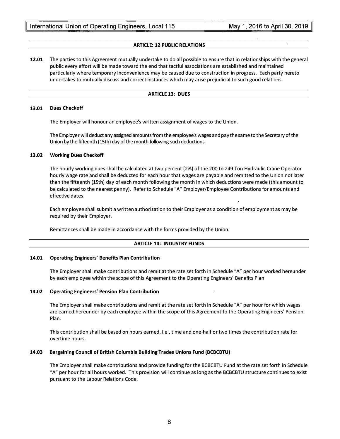#### ARTICLE: 12 PUBLIC RELATIONS

12.01 The parties to this Agreement mutually undertake to do all possible to ensure that in relationships with the general public every effort will be made toward the end that tactful associations are established and maintained particularly where temporary inconvenience may be caused due to construction in progress. Each party hereto undertakes to mutually discuss and correct instances which may arise prejudicial to such good relations.

#### ARTICLE 13: DUES

#### 13.01 Dues Checkoff

The Employer will honour an employee's written assignment of wages to the Union.

The Employer will deduct any assigned amounts from the employee's wages and pay the same to the Secretary of the Union by the fifteenth (15th) day of the month following such deductions.

#### 13.02 Working Dues Checkoff

The hourly working dues shall be calculated at two percent (2%) of the 200 to 249 Ton Hydraulic Crane Operator hourly wage rate and shall be deducted for each hour that wages are payable and remitted to the Umon not later than the fifteenth (15th) day of each month following the month in which deductions were made (this amount to be calculated to the nearest penny). Refer to Schedule "A" Employer/Employee Contributions for amounts and effective dates.

Each employee shall submit a written authorization to their Employer as a condition of employment as may be required by their Employer.

Remittances shall be made in accordance with the forms provided by the Union.

#### ARTICLE 14: INDUSTRY FUNDS

#### 14.01 Operating Engineers' Benefits Plan Contribution

The Employer shall make contributions and remit at the rate set forth in Schedule "A" per hour worked hereunder by each employee within the scope of this Agreement to the Operating Engineers' Benefits Plan

#### 14.02 Operating Engineers' Pension Plan Contribution

The Employer shall make contributions and remit at the rate set forth in Schedule "A" per hour for which wages are earned hereunder by each employee within the scope of this Agreement to the Operating Engineers' Pension Plan.

This contribution shall be based on hours earned, i.e., time and one-half or two times the contribution rate for overtime hours.

#### 14.03 Bargaining Council of British Columbia Building Trades Unions Fund (BCBCBTU)

The Employer shall make contributions and provide funding for the BCBCBTU Fund at the rate set forth in Schedule "A" per hour for all hours worked. This provision will continue as long as the BCBCBTU structure continues to exist pursuant to the Labour Relations Code.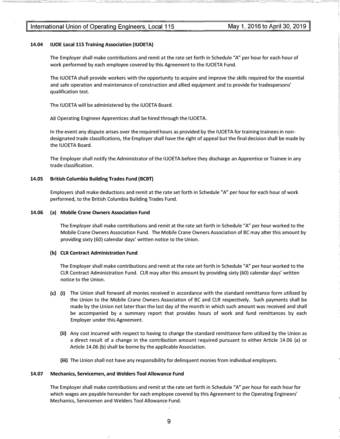#### 14.04 IUOE Local 115 Training Association (IUOETA)

The Employer shall make contributions and remit at the rate set forth in Schedule "A" per hour for each hour of work performed by each employee covered by this Agreement to the IUOETA Fund.

The IUOETA shall provide workers with the opportunity to acquire and improve the skills required for the essential and safe operation and maintenance of construction and allied equipment and to provide for tradespersons' qualification test.

The IUOETA will be administered by the IUOETA Board.

All Operating Engineer Apprentices shall be hired through the IUOETA.

In the event any dispute arises over the required hours as provided by the IUOETA for training trainees in nondesignated trade classifications, the Employer shall have the right of appeal but the final decision shall be made by the IUOETA Board.

The Employer shall notify the Administrator of the I UOETA before they discharge an Apprentice or Trainee in any trade classification.

#### 14.05 British Columbia Building Trades Fund (BCBT}

Employers shall make deductions and remit at the rate set forth in Schedule "A" per hour for each hour of work performed, to the British Columbia Building Trades Fund.

#### 14.06 (a} Mobile Crane Owners Association Fund

The Employer shall make contributions and remit at the rate set forth in Schedule "A" per hour worked to the Mobile Crane Owners Association Fund. The Mobile Crane Owners Association of BC may alter this amount by providing sixty (60) calendar days' written notice to the Union.

#### (b) CLR Contract Administration Fund

The Employer shall make contributions and remit at the rate set forth in Schedule "A" per hour worked to the CLR Contract Administration Fund. CLR may alter this amount by providing sixty (60) calendar days' written notice to the Union.

- (c) (i} The Union shall forward all monies received in accordance with the standard remittance form utilized by the Union to the Mobile Crane Owners Association of BC and CLR respectively. Such payments shall be made by the Union not later than the last day of the month in which such amount was received and shall be accompanied by a summary report that provides hours of work and fund remittances by each Employer under this Agreement.
	- (ii} Any cost incurred with respect to having to change the standard remittance form utilized by the Union as a direct result of a change in the contribution amount required pursuant to either Article 14.06 (a) or Article 14.06 (b) shall be borne by the applicable Association.
	- (iii} The Union shall not have any responsibility for delinquent monies from individual employers.

#### 14.07 Mechanics, Servicemen, and Welders Tool Allowance Fund

The Employer shall make contributions and remit at the rate set forth in Schedule "A" per hour for each hour for which wages are payable hereunder for each employee covered by this Agreement to the Operating Engineers' Mechanics, Servicemen and Welders Tool Allowance Fund.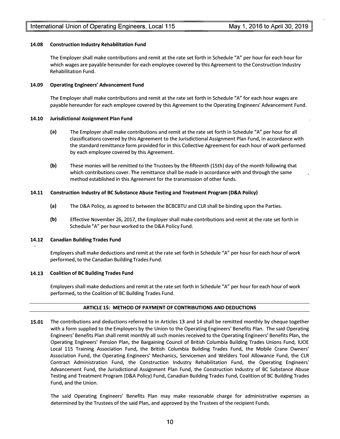#### 14.08 Construction Industry Rehabilitation Fund

The Employer shall make contributions and remit at the rate set forth in Schedule "A" per hour for each hour for which wages are payable hereunder for each employee covered by this Agreement to the Construction Industry Rehabilitation Fund.

#### 14.09 Operating Engineers' Advancement Fund

The Employer shall make contributions and remit at the rate set forth in Schedule "A" for each hour wages are payable hereunder for each employee covered by this Agreement to the Operating Engineers' Advancement Fund.

#### 14.10 Jurisdictional Assignment Plan Fund

- (a) The Employer shall make contributions and remit at the rate set forth in Schedule "A" per hour for all classifications covered by this Agreement to the Jurisdictional Assignment Plan Fund, in accordance with the standard remittance form provided for in this Collective Agreement for each hour of work performed by each employee covered by this Agreement.
- (b) These monies will be remitted to the Trustees by the fifteenth {15th) day of the month following that which contributions cover. The remittance shall be made in accordance with and through the same method established in this Agreement for the transmission of other funds.

#### 14.11 Construction Industry of BC Substance Abuse Testing and Treatment Program (D&A Policy)

- (a) The D&A Policy, as agreed to between the BCBCBTU and CLR shall be binding upon the Parties.
- (b) Effective November 26, 2017, the Employer shall make contributions and remit at the rate set forth in Schedule "A" per hour worked to the D&A Policy Fund.

#### 14.12 Canadian Building Trades Fund

Employers shall make deductions and remit at the rate set forth in Schedule "A" per hour for each hour of work performed, to the Canadian Building Trades Fund.

#### 14.13 Coalition of BC Building Trades Fund

Employers shall make deductions and remit at the rate set forth in Schedule "A" per hour for each hour of work performed, to the Coalition of BC Building Trades Fund.

#### ARTICLE 15: METHOD OF PAYMENT OF CONTRIBUTIONS AND DEDUCTIONS

15.01 The contributions and deductions referred to in Articles 13 and 14 shall be remitted monthly by cheque together with a form supplied to the Employers by the Union to the Operating Engineers' Benefits Plan. The said Operating Engineers' Benefits Plan shall remit monthly all such monies received to the Operating Engineers' Benefits Plan, the Operating Engineers' Pension Plan, the Bargaining Council of British Columbia Building Trades Unions Fund, IUOE Local 115 Training Association Fund, the British Columbia Building Trades Fund, the Mobile Crane Owners' Association Fund, the Operating Engineers' Mechanics, Servicemen and Welders Tool Allowance Fund, the CLR Contract Administration Fund, the Construction Industry Rehabilitation Fund, the Operating Engineers' Advancement Fund, the Jurisdictional Assignment Plan Fund, the Construction Industry of BC Substance Abuse Testing and Treatment Program (D&A Policy) Fund, Canadian Building Trades Fund, Coalition of BC Building Trades Fund, and the Union.

The said Operating Engineers' Benefits Plan may make reasonable charge for administrative expenses as determined by the Trustees of the said Plan, and approved by the Trustees of the recipient Funds.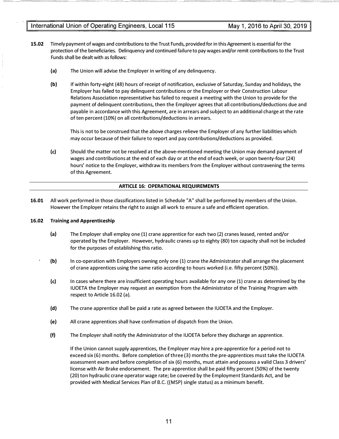- 15.02 Timely payment of wages and contributions to the Trust Funds, provided for in this Agreement is essential for the protection of the beneficiaries. Delinquency and continued failure to pay wages and/or remit contributions to the Trust Funds shall be dealt with as follows:
	- (a) The Union will advise the Employer in writing of any delinquency.
	- (b) If within forty-eight (48) hours of receipt of notification, exclusive of Saturday, Sunday and holidays, the Employer has failed to pay delinquent contributions or the Employer or their Construction Labour Relations Association representative has failed to request a meeting with the Union to provide for the payment of delinquent contributions, then the Employer agrees that all contributions/deductions due and payable in accordance with this Agreement, are in arrears and subject to an additional charge at the rate of ten percent (10%) on all contributions/deductions in arrears.

This is not to be construed that the above charges relieve the Employer of any further liabilities which may occur because of their failure to report and pay contributions/deductions as provided.

(c) Should the matter not be resolved at the above-mentioned meeting the Union may demand payment of wages and contributions at the end of each day or at the end of each week, or upon twenty-four (24) hours' notice to the Employer, withdraw its members from the Employer without contravening the terms of this Agreement.

#### ARTICLE 16: OPERATIONAL REQUIREMENTS

16.01 All work performed in those classifications listed in Schedule "A" shall be performed by members of the Union. However the Employer retains the right to assign all work to ensure a safe and efficient operation.

#### 16.02 Training and Apprenticeship

- (a) The Employer shall employ one (1) crane apprentice for each two (2) cranes leased, rented and/or operated by the Employer. However, hydraulic cranes up to eighty (80) ton capacity shall not be included for the purposes of establishing this ratio.
- (b) In co-operation with Employers owning only one (1) crane the Administrator shall arrange the placement of crane apprentices using the same ratio according to hours worked (i.e. fifty percent (SO%)).
- (c) In cases where there are insufficient operating hours available for any one (1) crane as determined by the IUOETA the Employer may request an exemption from the Administrator of the Training Program with respect to Article 16.02 (a).
- (d) The crane apprentice shall be paid a rate as agreed between the IUOETA and the Employer.
- (e) All crane apprentices shall have confirmation of dispatch from the Union.
- (f) The Employer shall notify the Administrator of the IUOETA before they discharge an apprentice.

If the Union cannot supply apprentices, the Employer may hire a pre-apprentice for a period not to exceed six (6) months. Before completion of three (3) months the pre-apprentices must take the IUOETA assessment exam and before completion of six (6) months, must attain and possess a valid Class 3 drivers' license with Air Brake endorsement. The pre-apprentice shall be paid fifty percent (50%) of the twenty {20) ton hydraulic crane operator wage rate; be covered by the Employment Standards Act, and be provided with Medical Services Plan of B.C. {{MSP) single status) as a minimum benefit.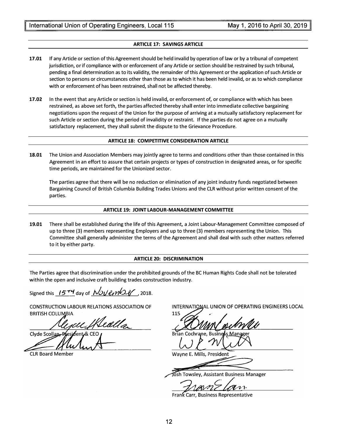#### ARTICLE 17: SAVINGS ARTICLE

- 17.01 If any Article or section of this Agreement should be held invalid by operation of law or by a tribunal of competent jurisdiction, or if compliance with or enforcement of any Article or section should be restrained by such tribunal, pending a final determination as to its validity, the remainder of this Agreement or the application of such Article or section to persons or circumstances other than those as to which it has been held invalid, or as to which compliance with or enforcement of has been restrained, shall not be affected thereby.
- 17.02 In the event that any Article or section is held invalid, or enforcement of, or compliance with which has been restrained, as above set forth, the parties affected thereby shall enter into immediate collective bargaining negotiations upon the request of the Union for the purpose of arriving at a mutually satisfactory replacement for such Article or section during the period of invalidity or restraint. If the parties do not agree on a mutually satisfactory replacement, they shall submit the dispute to the Grievance Procedure.

#### ARTICLE 18: COMPETITIVE CONSIDERATION ARTICLE

18.01 The Union and Association Members may jointly agree to terms and conditions other than those contained in this Agreement in an effort to assure that certain projects or types of construction in designated areas, or for specific time periods, are maintained for the Unionized sector.

The parties agree that there will be no reduction or elimination of any joint industry funds negotiated between Bargaining Council of British Columbia Building Trades Unions and the CLR without prior written consent of the parties.

#### ARTICLE 19: JOINT LABOUR-MANAGEMENT COMMITTEE

19.01 There shall be established during the life of this Agreement, a Joint Labour-Management Committee composed of up to three (3) members representing Employers and up to three (3) members representing the Union. This Committee shall generally administer the terms of the Agreement and shall deal with such other matters referred to it by either party.

#### ARTICLE 20: DISCRIMINATION

The Parties agree that discrimination under the prohibited grounds of the BC Human Rights Code shall not be tolerated within the open and inclusive craft building trades construction industry.

Signed this  $1574$  day of November . 2018.

CONSTRUCTION LABOUR RELATIONS ASSOCIATION OF **BRITISH COLUMBIA** 

u Wealla Clyde Scollan, ∕lent & CEO

CLR Board Member

INTERNATIONAL UNION OF OPERATING ENGINEERS LOCAL

115

Brian Co

Wayne E. Mills, President

osh Towsley, Assistant Business Manager<br>
Tham Tham The Latin

Frank Carr, Business Representative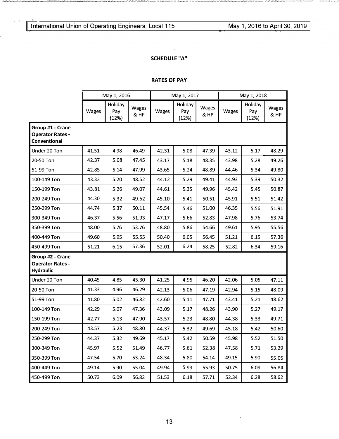22

# SCHEDULE "A"

 $\chi$ 

# RATES OF PAY

|                                                                    | May 1, 2016 |                         | May 1, 2017   |       |                         | May 1, 2018   |       |                         |               |  |
|--------------------------------------------------------------------|-------------|-------------------------|---------------|-------|-------------------------|---------------|-------|-------------------------|---------------|--|
|                                                                    | Wages       | Holiday<br>Pay<br>(12%) | Wages<br>& HP | Wages | Holiday<br>Pay<br>(12%) | Wages<br>& HP | Wages | Holiday<br>Pay<br>(12%) | Wages<br>& HP |  |
| Group #1 - Crane<br><b>Operator Rates -</b><br><b>Conventional</b> |             |                         |               |       |                         |               |       |                         |               |  |
| Under 20 Ton                                                       | 41.51       | 4.98                    | 46.49         | 42.31 | 5.08                    | 47.39         | 43.12 | 5.17                    | 48.29         |  |
| 20-50 Ton                                                          | 42.37       | 5.08                    | 47.45         | 43.17 | 5.18                    | 48.35         | 43.98 | 5.28                    | 49.26         |  |
| 51-99 Ton                                                          | 42.85       | 5.14                    | 47.99         | 43.65 | 5.24                    | 48.89         | 44.46 | 5.34                    | 49.80         |  |
| 100-149 Ton                                                        | 43.32       | 5.20                    | 48.52         | 44.12 | 5.29                    | 49.41         | 44.93 | 5.39                    | 50.32         |  |
| 150-199 Ton                                                        | 43.81       | 5.26                    | 49.07         | 44.61 | 5.35                    | 49.96         | 45.42 | 5.45                    | 50.87         |  |
| 200-249 Ton                                                        | 44.30       | 5.32                    | 49.62         | 45.10 | 5.41                    | 50.51         | 45.91 | 5.51                    | 51.42         |  |
| 250-299 Ton                                                        | 44.74       | 5.37                    | 50.11         | 45.54 | 5.46                    | 51.00         | 46.35 | 5.56                    | 51.91         |  |
| 300-349 Ton                                                        | 46.37       | 5.56                    | 51.93         | 47.17 | 5.66                    | 52.83         | 47.98 | 5.76                    | 53.74         |  |
| 350-399 Ton                                                        | 48.00       | 5.76                    | 53.76         | 48.80 | 5.86                    | 54.66         | 49.61 | 5.95                    | 55.56         |  |
| 400-449 Ton                                                        | 49.60       | 5.95                    | 55.55         | 50.40 | 6.05                    | 56.45         | 51.21 | 6.15                    | 57.36         |  |
| 450-499 Ton                                                        | 51.21       | 6.15                    | 57.36         | 52.01 | 6.24                    | 58.25         | 52.82 | 6.34                    | 59.16         |  |
| Group #2 - Crane<br><b>Operator Rates -</b><br>Hydraulic           |             |                         |               |       |                         |               |       |                         |               |  |
| Under 20 Ton                                                       | 40.45       | 4.85                    | 45.30         | 41.25 | 4.95                    | 46.20         | 42.06 | 5.05                    | 47.11         |  |
| 20-50 Ton                                                          | 41.33       | 4.96                    | 46.29         | 42.13 | 5.06                    | 47.19         | 42.94 | 5.15                    | 48.09         |  |
| 51-99 Ton                                                          | 41.80       | 5.02                    | 46.82         | 42.60 | 5.11                    | 47.71         | 43.41 | 5.21                    | 48.62         |  |
| 100-149 Ton                                                        | 42.29       | 5.07                    | 47.36         | 43.09 | 5.17                    | 48.26         | 43.90 | 5.27                    | 49.17         |  |
| 150-199 Ton                                                        | 42.77       | 5.13                    | 47.90         | 43.57 | 5.23                    | 48.80         | 44.38 | 5.33                    | 49.71         |  |
| 200-249 Ton                                                        | 43.57       | 5.23                    | 48.80         | 44.37 | 5.32                    | 49.69         | 45.18 | 5.42                    | 50.60         |  |
| 250-299 Ton                                                        | 44.37       | 5.32                    | 49.69         | 45.17 | 5.42                    | 50.59         | 45.98 | 5.52                    | 51.50         |  |
| 300-349 Ton                                                        | 45.97       | 5.52                    | 51.49         | 46.77 | 5.61                    | 52.38         | 47.58 | 5.71                    | 53.29         |  |
| 350-399 Ton                                                        | 47.54       | 5.70                    | 53.24         | 48.34 | 5.80                    | 54.14         | 49.15 | 5.90                    | 55.05         |  |
| 400-449 Ton                                                        | 49.14       | 5.90                    | 55.04         | 49.94 | 5.99                    | 55.93         | 50.75 | 6.09                    | 56.84         |  |
| 450-499 Ton                                                        | 50.73       | 6.09                    | 56.82         | 51.53 | 6.18                    | 57.71         | 52.34 | 6.28                    | 58.62         |  |

 $\hat{\mathbf{v}}$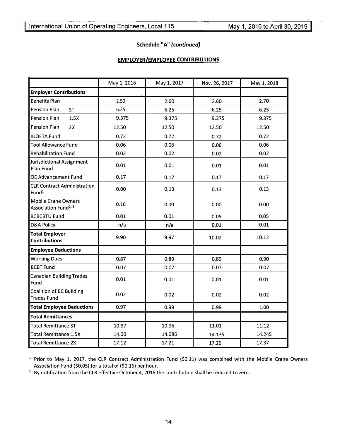### Schedule "A" (continued)

# EMPLOYER/EMPLOYEE CONTRIBUTIONS

|                                                                | May 1, 2016 | May 1, 2017 | Nov. 26, 2017 | May 1, 2018 |
|----------------------------------------------------------------|-------------|-------------|---------------|-------------|
| <b>Employer Contributions</b>                                  |             |             |               |             |
| <b>Benefits Plan</b>                                           | 2.50        | 2.60        | 2.60          | 2.70        |
| <b>Pension Plan</b><br><b>ST</b>                               | 6.25        | 6.25        | 6.25          | 6.25        |
| <b>Pension Plan</b><br>1.5X                                    | 9.375       | 9.375       | 9.375         | 9.375       |
| <b>Pension Plan</b><br>2X                                      | 12.50       | 12.50       | 12.50         | 12.50       |
| <b>IUOETA Fund</b>                                             | 0.72        | 0.72        | 0.72          | 0.72        |
| <b>Tool Allowance Fund</b>                                     | 0.06        | 0.06        | 0.06          | 0.06        |
| <b>Rehabilitation Fund</b>                                     | 0.02        | 0.02        | 0.02          | 0.02        |
| Jurisdictional Assignment<br>Plan Fund                         | 0.01        | 0.01        | 0.01          | 0.01        |
| OE Advancement Fund                                            | 0.17        | 0.17        | 0.17          | 0.17        |
| <b>CLR Contract Administration</b><br>Fund <sup>1</sup>        | 0.00        | 0.13        | 0.13          | 0.13        |
| <b>Mobile Crane Owners</b><br>Association Fund <sup>1, 2</sup> | 0.16        | 0.00        | 0.00          | 0.00        |
| <b>BCBCBTU Fund</b>                                            | 0.01        | 0.01        | 0.05          | 0.05        |
| <b>D&amp;A Policy</b>                                          | n/a         | n/a         | 0.01          | 0.01        |
| <b>Total Employer</b><br><b>Contributions</b>                  | 9.90        | 9.97        | 10.02         | 10.12       |
| <b>Employee Deductions</b>                                     |             |             |               |             |
| <b>Working Dues</b>                                            | 0.87        | 0.89        | 0.89          | 0.90        |
| <b>BCBT Fund</b>                                               | 0.07        | 0.07        | 0.07          | 0.07        |
| <b>Canadian Building Trades</b><br>Fund                        | 0.01        | 0.01        | 0.01          | 0.01        |
| Coalition of BC Building<br><b>Trades Fund</b>                 | 0.02        | 0.02        | 0.02          | 0.02        |
| <b>Total Employee Deductions</b>                               | 0.97        | 0.99        | 0.99          | 1.00        |
| <b>Total Remittances</b>                                       |             |             |               |             |
| <b>Total Remittance ST</b>                                     | 10.87       | 10.96       | 11.01         | 11.12       |
| <b>Total Remittance 1.5X</b>                                   | 14.00       | 14.085      | 14.135        | 14.245      |
| <b>Total Remittance 2X</b>                                     | 17.12       | 17.21       | 17.26         | 17.37       |

<sup>1</sup> Prior to May 1, 2017, the CLR Contract Administration Fund (\$0.11) was combined with the Mobile Crane Owners Association Fund {\$0.05) for a total of {\$0.16) per hour.

<sup>2</sup> By notification from the CLR effective October 4, 2016 the contribution shall be reduced to zero.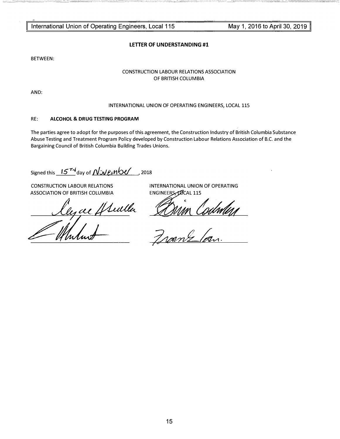�--- -----�-=------ - -----�--�-----

LETTER OF UNDERSTANDING #1

BETWEEN:

- -�-;\_-\_\_ '-'""-· -==-:o.:;'��,-\_,;-� -�-='--�-

#### CONSTRUCTION LABOUR RELATIONS ASSOCIATION OF BRITISH COLUMBIA

AND:

#### INTERNATIONAL UNION OF OPERATING ENGINEERS, LOCAL 115

#### RE: ALCOHOL & DRUG TESTING PROGRAM

The parties agree to adopt for the purposes of this agreement, the Construction Industry of British Columbia Substance Abuse Testing and Treatment Program Policy developed by Construction Labour Relations Association of B.C. and the Bargaining Council of British Columbia Building Trades Unions.

# Signed this  $15^{74}$  day of  $\sqrt{\frac{3000 \text{ m}^2}{2}}$ , 2018

ASSOCIATION OF BRITISH COLUMBIA ENGINEERS, POCAL 115

CONSTRUCTION LABOUR RELATIONS INTERNATIONAL UNION OF OPERATING

Franz lan.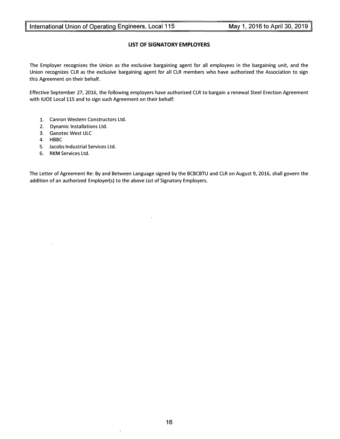# LIST OF SIGNATORY EMPLOYERS

The Employer recognizes the Union as the exclusive bargaining agent for all employees in the bargaining unit, and the Union recognizes CLR as the exclusive bargaining agent for all CLR members who have authorized the Association to sign this Agreement on their behalf.

Effective September 27, 2016, the following employers have authorized CLR to bargain a renewal Steel Erection Agreement with IUOE Local 115 and to sign such Agreement on their behalf:

- 1. Canron Western Constructors Ltd.
- 2. Dynamic Installations Ltd.
- 3. Ganotec West ULC
- 4. HBBC
- 5. Jacobs Industrial Services Ltd.
- 6. RKM Services Ltd.

The Letter of Agreement Re: By and Between Language signed by the BCBCBTU and CLR on August 9, 2016, shall govern the addition of an authorized Employer(s) to the above List of Signatory Employers.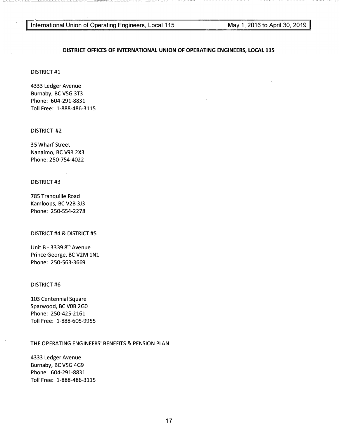#### DISTRICT OFFICES OF INTERNATIONAL UNION OF OPERATING ENGINEERS, LOCAL 115

DISTRICT #1

4333 Ledger Avenue Burnaby, BC V5G 3T3 Phone: 604-291-8831 Toll Free: 1-888-486-3115

DISTRICT #2

35 Wharf Street Nanaimo, BC V9R 2X3 Phone: 250-754-4022

DISTRICT #3

785 Tranquille Road Kamloops, BC V2B 3J3 Phone: 250-554-2278

DISTRICT #4 & DISTRICT #5

Unit B - 3339 8<sup>th</sup> Avenue Prince George, BC V2M 1N1 Phone: 250-563-3669

#### DISTRICT #6

103 Centennial Square Sparwood, BC VOB 2GO Phone: 250-425-2161 Toll Free: 1-888-605-9955

#### THE OPERATING ENGINEERS' BENEFITS & PENSION PLAN

4333 Ledger Avenue Burnaby, BC V5G 4G9 Phone: 604-291-8831 Toll Free: 1-888-486-3115